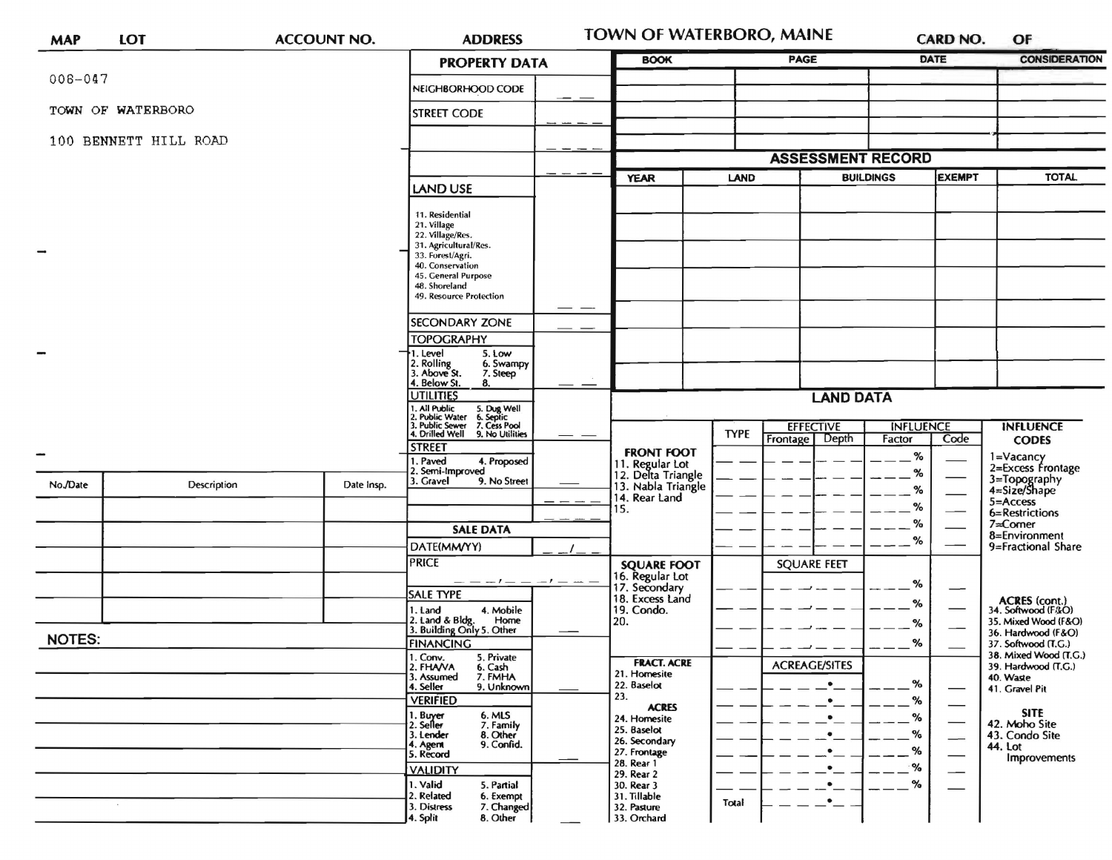| <b>MAP</b>    | LOT                   | <b>ACCOUNT NO.</b> |                                                                                                                      | <b>ADDRESS</b>                                                                                                                                              |                                                                          | <b>TOWN OF WATERBORO, MAINE</b>                              |                                                | <b>CARD NO.</b>                      |                                   | OF                                                                          |                                                                           |  |
|---------------|-----------------------|--------------------|----------------------------------------------------------------------------------------------------------------------|-------------------------------------------------------------------------------------------------------------------------------------------------------------|--------------------------------------------------------------------------|--------------------------------------------------------------|------------------------------------------------|--------------------------------------|-----------------------------------|-----------------------------------------------------------------------------|---------------------------------------------------------------------------|--|
|               |                       |                    |                                                                                                                      | <b>PROPERTY DATA</b>                                                                                                                                        |                                                                          | <b>BOOK</b>                                                  |                                                | <b>PAGE</b>                          | <b>DATE</b>                       |                                                                             | <b>CONSIDERATION</b>                                                      |  |
| $008 - 047$   |                       |                    |                                                                                                                      | NEIGHBORHOOD CODE                                                                                                                                           |                                                                          |                                                              |                                                |                                      |                                   |                                                                             |                                                                           |  |
|               | TOWN OF WATERBORO     |                    |                                                                                                                      | <b>STREET CODE</b>                                                                                                                                          |                                                                          |                                                              |                                                |                                      |                                   |                                                                             |                                                                           |  |
|               | 100 BENNETT HILL ROAD |                    |                                                                                                                      |                                                                                                                                                             |                                                                          |                                                              |                                                |                                      |                                   |                                                                             |                                                                           |  |
|               |                       |                    |                                                                                                                      |                                                                                                                                                             |                                                                          | <b>ASSESSMENT RECORD</b>                                     |                                                |                                      |                                   |                                                                             |                                                                           |  |
|               |                       |                    |                                                                                                                      | <b>LAND USE</b>                                                                                                                                             |                                                                          | <b>YEAR</b>                                                  | <b>LAND</b>                                    |                                      | <b>EXEMPT</b><br><b>BUILDINGS</b> |                                                                             | <b>TOTAL</b>                                                              |  |
| $\rightarrow$ |                       |                    |                                                                                                                      | 11. Residential<br>21. Village<br>22. Village/Res.<br>31. Agricultural/Res.<br>33. Forest/Agri.<br>40. Conservation<br>45. General Purpose<br>48. Shoreland |                                                                          |                                                              |                                                |                                      |                                   |                                                                             |                                                                           |  |
|               |                       |                    |                                                                                                                      | 49. Resource Protection                                                                                                                                     | __                                                                       |                                                              |                                                |                                      |                                   |                                                                             |                                                                           |  |
|               |                       |                    |                                                                                                                      | <b>SECONDARY ZONE</b><br><b>TOPOGRAPHY</b>                                                                                                                  |                                                                          |                                                              |                                                |                                      |                                   |                                                                             |                                                                           |  |
|               |                       |                    |                                                                                                                      | 5. Low<br>. Level<br>2. Rolling<br>3. Above St.<br>6. Swampy<br>7. Steep<br>4. Below St.<br>8.                                                              |                                                                          |                                                              |                                                |                                      |                                   |                                                                             |                                                                           |  |
|               |                       |                    |                                                                                                                      | <b>UTILITIES</b>                                                                                                                                            |                                                                          | <b>LAND DATA</b>                                             |                                                |                                      |                                   |                                                                             |                                                                           |  |
|               |                       |                    |                                                                                                                      | All Public 5. Dug Well<br>Public Water 6. Septic<br>Public Sewer 7. Cess Pool<br>Drilled Well 9. No Utilitie                                                |                                                                          |                                                              |                                                | <b>EFFECTIVE</b><br><b>INFLUENCE</b> |                                   |                                                                             | <b>INFLUENCE</b>                                                          |  |
|               |                       |                    |                                                                                                                      | 9. No Utilities<br><b>STREET</b>                                                                                                                            |                                                                          | <b>FRONT FOOT</b>                                            | <b>TYPE</b>                                    | Depth<br><b>Frontage</b>             | Factor                            | Code                                                                        | <b>CODES</b>                                                              |  |
|               |                       |                    |                                                                                                                      | Paved<br>4. Proposed<br>Semi-Improved                                                                                                                       |                                                                          | 11. Regular Lot<br>12. Delta Triangle                        |                                                |                                      | %<br>%                            |                                                                             | 1=Vacancy<br>2=Excess Frontage                                            |  |
| No./Date      | Description           |                    | Date Insp.                                                                                                           | 3. Gravel<br>9. No Street                                                                                                                                   |                                                                          | 13. Nabla Triangle<br>14. Rear Land                          |                                                |                                      | %                                 |                                                                             | 3=Topography<br>4=Size/Shape<br>5=Access                                  |  |
|               |                       |                    |                                                                                                                      |                                                                                                                                                             |                                                                          | 15.                                                          |                                                |                                      | $\%$                              |                                                                             | 6=Restrictions                                                            |  |
|               |                       |                    |                                                                                                                      | <b>SALE DATA</b>                                                                                                                                            |                                                                          |                                                              |                                                |                                      | $\%$<br>$\%$                      |                                                                             | $7 =$ Corner<br>8=Environment                                             |  |
|               |                       |                    |                                                                                                                      | DATE(MM/YY)<br><b>PRICE</b>                                                                                                                                 |                                                                          |                                                              |                                                | <b>SQUARE FEET</b>                   |                                   |                                                                             | 9=Fractional Share                                                        |  |
|               |                       |                    |                                                                                                                      |                                                                                                                                                             |                                                                          | <b>SQUARE FOOT</b><br>16. Regular Lot<br>17. Secondary       |                                                |                                      | %                                 |                                                                             |                                                                           |  |
|               |                       |                    |                                                                                                                      | <b>SALE TYPE</b>                                                                                                                                            |                                                                          | 18. Excess Land                                              |                                                |                                      | %                                 |                                                                             | <b>ACRES</b> (cont.)                                                      |  |
|               |                       |                    |                                                                                                                      | 4. Mobile<br>I. Land<br>2. Land & Bldg. Home<br>3. Building Only 5. Other<br>Home                                                                           |                                                                          | 19. Condo.<br>20.                                            |                                                |                                      | %                                 |                                                                             | 34. Softwood (F&O)<br>35. Mixed Wood (F&O)                                |  |
| <b>NOTES:</b> |                       |                    |                                                                                                                      | <b>FINANCING</b>                                                                                                                                            |                                                                          |                                                              |                                                |                                      | %                                 |                                                                             | 36. Hardwood (F&O)<br>37. Softwood (T.G.)                                 |  |
|               |                       |                    | 1. Conv.<br>5. Private<br>2. FHAVA<br>6. Cash<br>3. Assumed<br>7. FMHA<br>4. Seller<br>9. Unknown<br><b>VERIFIED</b> |                                                                                                                                                             | <b>FRACT. ACRE</b><br>21. Homesite<br>22. Baselot<br>23.<br><b>ACRES</b> |                                                              | <b>ACREAGE/SITES</b><br>$\bullet$<br>$\bullet$ | %<br>%                               |                                   | 38. Mixed Wood (T.G.)<br>39. Hardwood (T.G.)<br>40. Waste<br>41. Gravel Pit |                                                                           |  |
|               |                       |                    |                                                                                                                      | 1. Buyer<br>2. Seller<br>6. MLS<br>7. Family<br>3. Lender<br>8. Other<br>9. Confid.<br>4. Agent<br>5. Record                                                |                                                                          | 24. Homesite<br>25. Baselot<br>26. Secondary<br>27. Frontage |                                                | ٠<br>$\bullet$<br>$\bullet$          | ℅<br>$\%$<br>%                    | $\overline{\phantom{0}}$<br>$\overline{\phantom{0}}$                        | <b>SITE</b><br>42. Moho Site<br>43. Condo Site<br>44. Lot<br>Improvements |  |
|               |                       |                    |                                                                                                                      | <b>VALIDITY</b><br>1. Valid                                                                                                                                 |                                                                          | 28. Rear 1<br>29. Rear 2                                     |                                                | $\bullet$<br>$\bullet$               | %<br>$\%$                         | $\overline{\phantom{0}}$                                                    |                                                                           |  |
|               |                       |                    |                                                                                                                      | 5. Partial<br>2. Related<br>6. Exempt<br>3. Distress<br>7. Changed<br>4. Split<br>8. Other                                                                  |                                                                          | 30. Rear 3<br>31. Tillable<br>32. Pasture<br>33. Orchard     | Total                                          | $\bullet$                            |                                   |                                                                             |                                                                           |  |